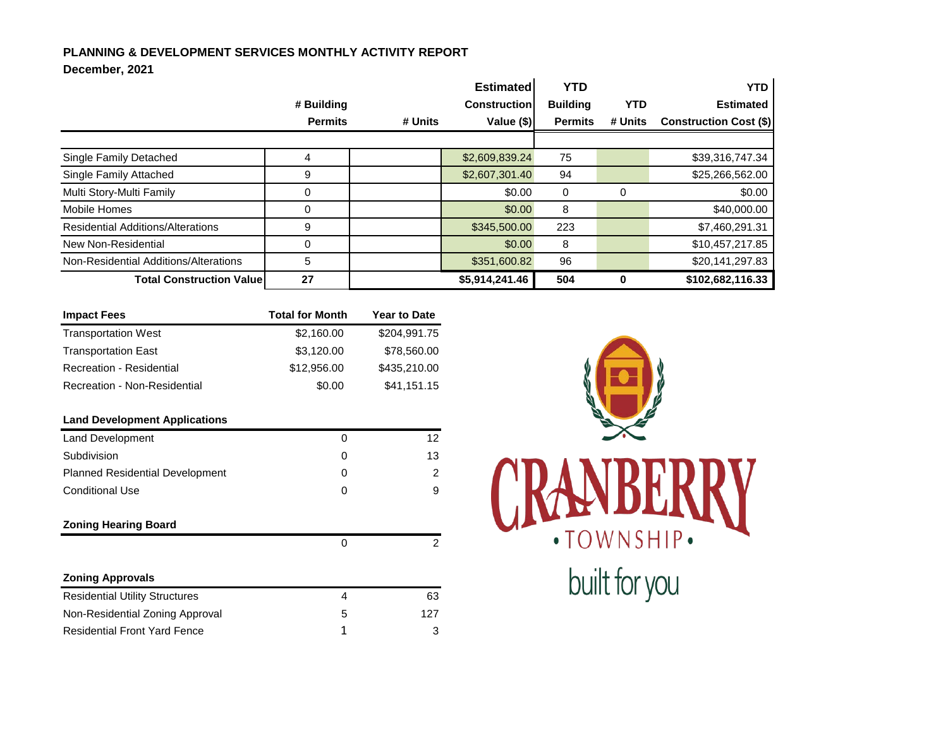## **PLANNING & DEVELOPMENT SERVICES MONTHLY ACTIVITY REPORT**

## **December, 2021**

|                                          |                |         | <b>Estimated</b>    | <b>YTD</b>      |            | <b>YTD</b>                    |
|------------------------------------------|----------------|---------|---------------------|-----------------|------------|-------------------------------|
|                                          | # Building     |         | <b>Construction</b> | <b>Building</b> | <b>YTD</b> | <b>Estimated</b>              |
|                                          | <b>Permits</b> | # Units | Value (\$)          | <b>Permits</b>  | # Units    | <b>Construction Cost (\$)</b> |
|                                          |                |         |                     |                 |            |                               |
| Single Family Detached                   |                |         | \$2,609,839.24      | 75              |            | \$39,316,747.34               |
| Single Family Attached                   | 9              |         | \$2,607,301.40      | 94              |            | \$25,266,562.00               |
| Multi Story-Multi Family                 | 0              |         | \$0.00              | 0               | 0          | \$0.00                        |
| <b>Mobile Homes</b>                      | $\Omega$       |         | \$0.00              | 8               |            | \$40,000.00                   |
| <b>Residential Additions/Alterations</b> | 9              |         | \$345,500.00        | 223             |            | \$7,460,291.31                |
| New Non-Residential                      | 0              |         | \$0.00              | 8               |            | \$10,457,217.85               |
| Non-Residential Additions/Alterations    | 5              |         | \$351,600.82        | 96              |            | \$20,141,297.83               |
| <b>Total Construction Value</b>          | 27             |         | \$5,914,241.46      | 504             | 0          | \$102,682,116.33              |

| <b>Impact Fees</b>                     | <b>Total for Month</b> | <b>Year to Date</b> |
|----------------------------------------|------------------------|---------------------|
| <b>Transportation West</b>             | \$2,160.00             | \$204,991.75        |
| <b>Transportation East</b>             | \$3,120.00             | \$78,560.00         |
| <b>Recreation - Residential</b>        | \$12,956.00            | \$435,210.00        |
| <b>Recreation - Non-Residential</b>    | \$0.00                 | \$41,151.15         |
| <b>Land Development Applications</b>   |                        |                     |
| <b>Land Development</b>                | $\Omega$               | 12 <sup>2</sup>     |
| Subdivision                            | 0                      | 13                  |
| <b>Planned Residential Development</b> | $\Omega$               | 2                   |
| <b>Conditional Use</b>                 | 0                      | 9                   |
| <b>Zoning Hearing Board</b>            |                        |                     |
|                                        | 0                      | 2                   |
| <b>Zoning Approvals</b>                |                        |                     |
| <b>Residential Utility Structures</b>  | 4                      | 63                  |
| Non-Residential Zoning Approval        | 5                      | 127                 |
| <b>Residential Front Yard Fence</b>    | 1                      | 3                   |